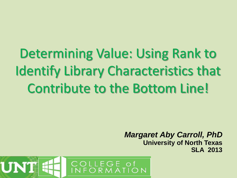Determining Value: Using Rank to Identify Library Characteristics that Contribute to the Bottom Line!

> *Margaret Aby Carroll, PhD* **University of North Texas SLA 2013**

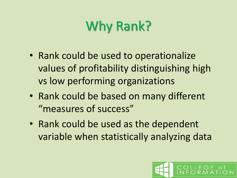# Why Rank?

- Rank could be used to operationalize values of profitability distinguishing high vs low performing organizations
- Rank could be based on many different "measures of success"
- Rank could be used as the dependent variable when statistically analyzing data

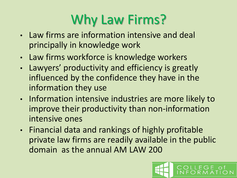# Why Law Firms?

- Law firms are information intensive and deal principally in knowledge work
- Law firms workforce is knowledge workers
- Lawyers' productivity and efficiency is greatly influenced by the confidence they have in the information they use
- Information intensive industries are more likely to improve their productivity than non-information intensive ones
- Financial data and rankings of highly profitable private law firms are readily available in the public domain as the annual AM LAW 200

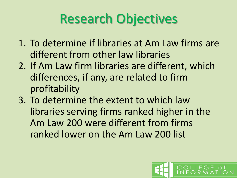# Research Objectives

- 1. To determine if libraries at Am Law firms are different from other law libraries
- 2. If Am Law firm libraries are different, which differences, if any, are related to firm profitability
- 3. To determine the extent to which law libraries serving firms ranked higher in the Am Law 200 were different from firms ranked lower on the Am Law 200 list

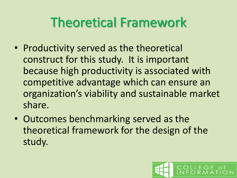### Theoretical Framework

- Productivity served as the theoretical construct for this study. It is important because high productivity is associated with competitive advantage which can ensure an organization's viability and sustainable market share.
- Outcomes benchmarking served as the theoretical framework for the design of the study.

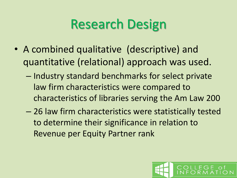### Research Design

- A combined qualitative (descriptive) and quantitative (relational) approach was used.
	- Industry standard benchmarks for select private law firm characteristics were compared to characteristics of libraries serving the Am Law 200
	- 26 law firm characteristics were statistically tested to determine their significance in relation to Revenue per Equity Partner rank

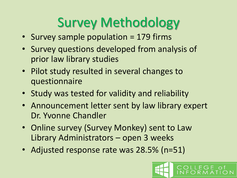# Survey Methodology

- Survey sample population = 179 firms
- Survey questions developed from analysis of prior law library studies
- Pilot study resulted in several changes to questionnaire
- Study was tested for validity and reliability
- Announcement letter sent by law library expert Dr. Yvonne Chandler
- Online survey (Survey Monkey) sent to Law Library Administrators – open 3 weeks
- Adjusted response rate was 28.5% (n=51)

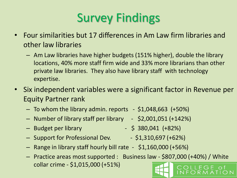#### Survey Findings

- Four similarities but 17 differences in Am Law firm libraries and other law libraries
	- Am Law libraries have higher budgets (151% higher), double the library locations, 40% more staff firm wide and 33% more librarians than other private law libraries. They also have library staff with technology expertise.
- Six independent variables were a significant factor in Revenue per Equity Partner rank
	- To whom the library admin. reports \$1,048,663 (+50%)
	- Number of library staff per library \$2,001,051 (+142%)
	- Budget per library \$ 380,041 (+82%)
	- Support for Professional Dev. \$1,310,697 (+62%)
	- Range in library staff hourly bill rate \$1,160,000 (+56%)
	- Practice areas most supported : Business law \$807,000 (+40%) / White collar crime - \$1,015,000 (+51%)
- -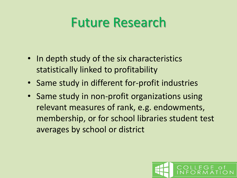#### Future Research

- In depth study of the six characteristics statistically linked to profitability
- Same study in different for-profit industries
- Same study in non-profit organizations using relevant measures of rank, e.g. endowments, membership, or for school libraries student test averages by school or district